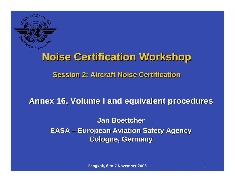

# **Noise Certification Workshop Noise Certification Workshop**

## **Session 2: Aircraft Noise CertificationSession 2: Aircraft Noise Certification**

**Annex 16, Volume I and equivalent procedures Annex 16, Volume I and equivalent procedures**

**Jan Boettcher Jan Boettcher EASA – European Aviation Safety Agency Cologne, Germany Cologne, Germany**

Bangkok, 6 to 7 November 2006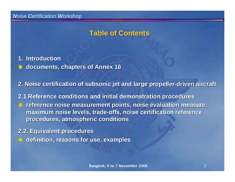## **Table of Contents Table of Contents**

**1. Introduction Introduction**

**documents, chapters of Annex 16 documents, chapters of Annex 16**

**2. Noise certification of subsonic jet and large propeller 2. Noise certification of subsonic jet and large propeller-driven aircraft driven aircraft**

**2.1 Reference conditions and initial demonstration procedures 2.1 Reference conditions and initial demonstration procedures**  $\bullet$  reference noise measurement points, noise evaluation measure, **maximum noise levels, trade-offs, noise certification reference procedures, atmospheric conditions procedures, atmospheric conditions**

**2.2. Equivalent procedures 2.2. Equivalent procedures definition, reasons for use, examples definition, reasons for use, examples**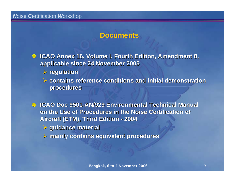## **Documents**

**ICAO Annex 16, Volume I, Fourth Edition, Amendment 8, applicable since 24 November 2005 applicable since 24 November 2005**

¾ **regulation regulation** 

¾ **contains reference conditions contains reference conditions and initial demonstration and initial demonstration procedures procedures**

**ICAO Doc 9501 ICAO Doc 9501-AN/929 Environmental Technical Manual AN/929 Environmental Technical Manual on the Use of Procedures in the Noise Certification of Aircraft (ETM), Third Edition - 2004** 

- ¾ **guidance material guidance material**
- ¾ **mainly contains equivalent procedures mainly contains equivalent procedures**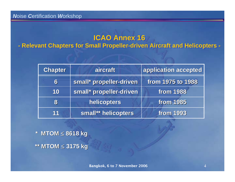# **ICAO Annex 16 ICAO Annex 16**

**- Relevant Chapters for Small Propeller-driven Aircraft and Helicopters - - Relevant Chapters for Small Propeller-driven Aircraft and Helicopters -**

| <b>Chapter</b> | aircraft                | application accepted |  |  |
|----------------|-------------------------|----------------------|--|--|
| 6              | small* propeller-driven | from 1975 to 1988    |  |  |
| 10             | small* propeller-driven | <b>from 1988</b>     |  |  |
| 8              | helicopters             | <b>from 1985</b>     |  |  |
| 11             | small** helicopters     | <b>from 1993</b>     |  |  |

**\* MTOM \* MTOM** <sup>≤</sup> **8618 kg 8618 kg \*\* MTOM \*\* MTOM** <sup>≤</sup> **3175 kg 3175 kg**

Bangkok, 6 to 7 November 2006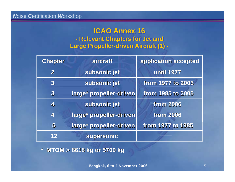#### **ICAO Annex 16 ICAO Annex 16 - Relevant Chapters for Jet and - Relevant Chapters for Jet and Large Propeller-driven Aircraft (1) - Large Propeller-driven Aircraft (1) -**

| <b>Chapter</b>          | aircraft                | application accepted |  |  |
|-------------------------|-------------------------|----------------------|--|--|
| $\mathbf 2$             | subsonic jet            | <b>until 1977</b>    |  |  |
| $\overline{\mathbf{3}}$ | subsonic jet            | from 1977 to 2005    |  |  |
| $\overline{\mathbf{3}}$ | large* propeller-driven | from 1985 to 2005    |  |  |
| 4                       | subsonic jet            | <b>from 2006</b>     |  |  |
| $\overline{\mathbf{4}}$ | large* propeller-driven | <b>from 2006</b>     |  |  |
| 5                       | large* propeller-driven | from 1977 to 1985    |  |  |
| 12                      | supersonic              |                      |  |  |

**\* MTOM > \* MTOM > 8618 kg or 5700 kg 8618 kg or 5700 kg**

Bangkok, 6 to 7 November 2006 5 5 5 5 5 5 5 6 7 November 2006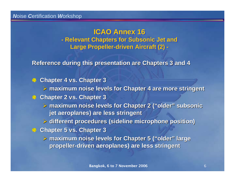**ICAO Annex 16 ICAO Annex 16 - Relevant Chapters for Subsonic Jet and - Relevant Chapters for Subsonic Jet and Large Propeller-driven Aircraft (2) - Large Propeller-driven Aircraft (2) -**

**Reference during this presentation are Chapters 3 and 4** 

- **Chapter 4 vs. Chapter 3** 卷
	- $\triangleright$  maximum noise levels for Chapter 4 are more stringent
- **Chapter 2 vs. Chapter 3 Chapter 2 vs. Chapter 3**
	- ¾ **maximum noise levels for Chapter 2 ( maximum noise levels for Chapter 2 ("older" subsonic subsonic jet aeroplanes) are less stringent jet aeroplanes) are less stringent**
	- ¾ **different procedures (sideline microphone position) different procedures (sideline microphone position)**
- **Chapter 5 vs. Chapter 3 Chapter 5 vs. Chapter 3**
	- ¾ **maximum noise levels for Chapter 5 ( maximum noise levels for Chapter 5 ("older" large propeller propeller-driven aeroplanes) are less stringent driven aeroplanes) are less stringent**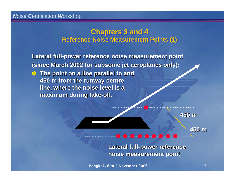#### **Chapters 3 and 4 Chapters 3 and 4 - Reference Noise Measurement Points (1) - - Reference Noise Measurement Points (1) -**

**Lateral full Lateral full-power reference noise measurement point power reference noise measurement point (since March 2002 for subsonic jet aeroplanes only): EXALUTE:** The point on a line parallel to and **450 m from the runway centre 450 m from the runway centre line, where the noise level is a line, where the noise level is a maximum during take maximum during take-off.**

**450 m**

**450 m**

**Lateral full Lateral full-power reference power reference noise measurement point noise measurement point**

Bangkok, 6 to 7 November 2006 7 2006 7 2006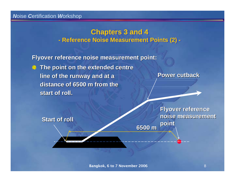#### **Chapters 3 and 4 Chapters 3 and 4 - Reference Noise Measurement Points (2) - - Reference Noise Measurement Points (2) -**

**Flyover reference noise measurement point: Flyover reference noise measurement point:**

**EXTE The point on the extended centre line of the runway and at a line of the runway and at a**  distance of 6500 m from the **start of roll. start of roll.**

**Power cutback Power cutback**

**point Start of roll Start of roll**

**Flyover reference Flyover reference noise measurement noise measurement** 

**6500 m**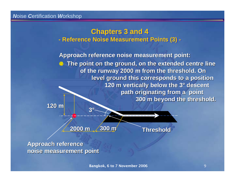#### **Chapters 3 and 4 Chapters 3 and 4 - Reference Noise Measurement Points (3) - - Reference Noise Measurement Points (3) -**

**Approach reference noise measurement point: Approach reference noise measurement point:** 

**The point on the ground, on the extended centre line The point on the ground, on the extended centre line**  of the runway 2000 m from the threshold. On **level ground this corresponds to a position level ground this corresponds to a position 120 m vertically below the 3° descent** path originating from a point **300 m beyond the threshold. 120 m**

> **2000 m300 m**

**3°**

**Threshold Threshold**

**Approach reference Approach reference noise measurement point noise measurement point**

Bangkok, 6 to 7 November 2006 9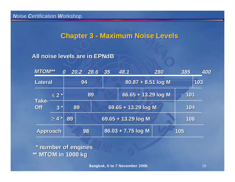## **Chapter 3 - Maximum Noise Levels Chapter 3 - Maximum Noise Levels**

#### **All noise levels are in EPNdB**

| <b>MTOM**</b>       |            | 0  | 20.2 | 28.6 | 35                   | 48.1                | 280                 | 385 | 400 |
|---------------------|------------|----|------|------|----------------------|---------------------|---------------------|-----|-----|
| Lateral             |            | 94 |      |      | 80.87 + 8.51 log M   |                     |                     | 103 |     |
| Take-<br><b>Off</b> | $\leq 2$ * |    |      | 89   |                      |                     | 66.65 + 13.29 log M | 101 |     |
|                     | $3*$       | 89 |      |      |                      | 69.65 + 13.29 log M |                     | 104 |     |
|                     | $\geq 4$ * | 89 |      |      |                      | 69.65 + 13.29 log M |                     | 106 |     |
| <b>Approach</b>     |            |    | 98   |      | $86.03 + 7.75$ log M |                     | 105                 |     |     |

**\* number of engines \* number of engines \*\* MTOM in 1000 kg \*\* MTOM in 1000 kg**

**Bangkok, 6 to 7 November 2006** 10 10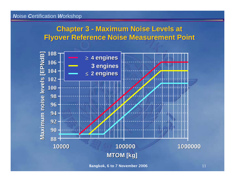## **Chapter 3 - Maximum Noise Levels at Chapter 3 - Maximum Noise Levels at Flyover Reference Noise Measurement Point Flyover Reference Noise Measurement Point**



Bangkok, 6 to 7 November 2006 11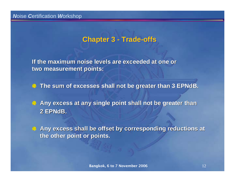## **Chapter 3 - Trade-offs Chapter 3 - Trade-offs**

**If the maximum noise levels are exceeded at one or If the maximum noise levels are exceeded at one or two measurement points: two measurement points:**

**The sum of excesses shall not be greater than 3 EPNdB.** 

**Any excess at any single point shall not be greater than 2 EPNdB.**

**Any excess shall be offset by corresponding reductions at Any excess shall be offset by corresponding reductions at the other point or points.**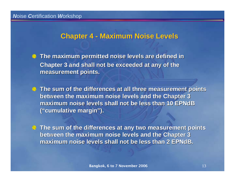## **Chapter 4 - Maximum Noise Levels Chapter 4 - Maximum Noise Levels**

**The maximum permitted noise levels are defined in The maximum permitted noise levels are defined in Chapter 3 and shall not be exceeded at any of the measurement points. measurement points.**

**The sum of the differences at all three measurement points The sum of the differences at all three measurement points between the maximum noise levels and the Chapter 3 between the maximum noise levels and the Chapter 3**  maximum noise levels shall not be less than 10 EPNdB **("cumulative margin cumulative margin").**

**The sum of the differences at The sum of the differences at any two measurement points any two measurement points between the maximum noise levels and the Chapter 3 between the maximum noise levels and the Chapter 3**  maximum noise levels shall not be less than 2 EPNdB.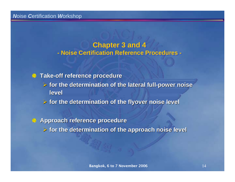#### **Chapter 3 and 4 Chapter 3 and 4 - Noise Certification Reference Procedures - - Noise Certification Reference Procedures -**

**Take-off reference procedure off reference procedure** 

- ¾ **for the determination of the lateral full for the determination of the lateral full-power noise power noise level**
- ¾ **for the determination of the flyover noise level for the determination of the flyover noise level**

**Approach reference procedure Approach reference procedure** ¾ **for the determination of the approach noise level for the determination of the approach noise level**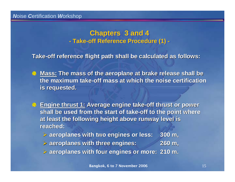#### **Chapters 3 and 4 Chapters 3 and 4 - Take-off Reference Procedure (1) - - Take-off Reference Procedure (1) -**

**Take-off reference flight path shall be calculated as follows: off reference flight path shall be calculated as follows:**

- **Mass: The mass of the aeroplane at brake release shall be The mass of the aeroplane at brake release shall be the maximum take the maximum take-off mass at which the noise certification off mass at which the noise certification is requested. is requested.**
- **Engine thrust 1: Average engine take-off thrust or power shall be used from the start of take shall be used from the start of take-off to the point where off to the point where at least the following height above runway level is reached: reached:**
	- ¾ **aeroplanes with two engines or less: aeroplanes with two engines or less: 300 m,**
	- ¾ **aeroplanes with three engines: aeroplanes with three engines: 260 m,**
	- ¾ **aeroplanes with four engines or more: aeroplanes with four engines or more: 210 m.**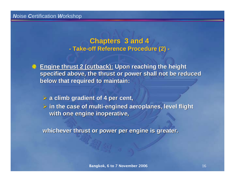**Chapters 3 and 4 Chapters 3 and 4 - Take-off Reference Procedure (2) - - Take-off Reference Procedure (2) -**



¾ **a climb gradient of 4 per cent, a climb gradient of 4 per cent,** ¾ **in the case of multi in the case of multi-engined engined aeroplanes, level flight aeroplanes, level flight with one engine inoperative, with one engine inoperative,**

**whichever thrust or power per engine is greater. whichever thrust or power per engine is greater.**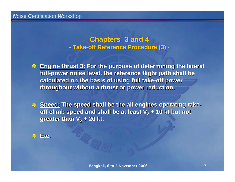**Chapters 3 and 4 Chapters 3 and 4 - Take-off Reference Procedure (3) - - Take-off Reference Procedure (3) -**

**Engine thrust 3: For the purpose of determining the lateral** full-power noise level, the reference flight path shall be **calculated on the basis of using full take calculated on the basis of using full take-off power off power throughout without a thrust or power reduction. throughout without a thrust or power reduction.**

**B** Speed: The speed shall be the all engines operating take**off climb speed and shall be at least V** $_2$  **+ 10 kt but not greater than V greater than V2 + 20 kt.**

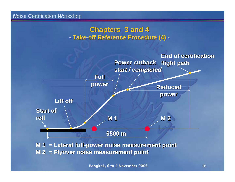#### **Chapters 3 and 4 Chapters 3 and 4 - Take-off Reference Procedure (4) - - Take-off Reference Procedure (4) -**



**M 1**  $=$  **Lateral full-power noise measurement point M 2 = Flyover noise measurement point M 2 = Flyover noise measurement point**

Bangkok, 6 to 7 November 2006 18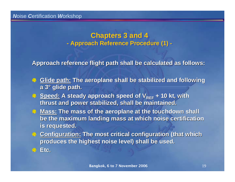#### **Chapters 3 and 4 Chapters 3 and 4 - Approach Reference Procedure (1) - - Approach Reference Procedure (1) -**

**Approach reference flight path shall be calculated as follows: Approach reference flight path shall be calculated as follows:**

- **Glide path: Glide path:The aeroplane shall be stabilized and following The aeroplane shall be stabilized and following a 3° glide path. glide path.**
- **Speed: A steady approach speed of V A steady approach speed of VREF + 10 kt, with thrust and power stabilized, shall be maintained. thrust and power stabilized, shall be maintained.**
- **Mass: The mass of the aeroplane at the touchdown shall The mass of the aeroplane at the touchdown shall be the maximum landing mass at which noise certification is requested. is requested.**
- **Configuration: The most critical configuration (that which**  $\bullet$  **)** produces the highest noise level) shall be used.

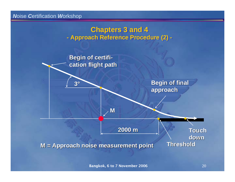#### **Chapters 3 and 4 Chapters 3 and 4 - Approach Reference Procedure (2) - - Approach Reference Procedure (2) -**



Bangkok, 6 to 7 November 2006 2006 2006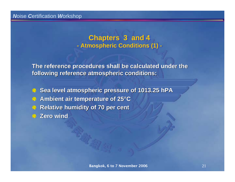#### **Chapters 3 and 4 Chapters 3 and 4 - Atmospheric Conditions (1) - - Atmospheric Conditions (1) -**

**The reference procedures shall be calculated under the The reference procedures shall be calculated under the following reference atmospheric conditions: following reference atmospheric conditions:**

**Sea level atmospheric pressure of 1013.25 hPA Ambient air temperature of 25 Ambient air temperature of 25°C Relative humidity of 70 per cent Relative humidity of 70 per cent Zero wind Zero wind**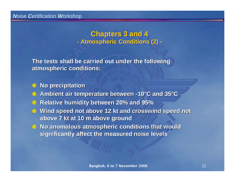#### **Chapters 3 and 4 Chapters 3 and 4 - Atmospheric Conditions (2) - - Atmospheric Conditions (2) -**

**The tests shall be carried out under the following The tests shall be carried out under the following atmospheric conditions: atmospheric conditions:**

#### **No precipitation No precipitation**

- **Ambient air temperature between Ambient air temperature between -10°C and 35 C and 35°C**
- **Relative humidity between 20% and 95% Relative humidity between 20% and 95%**
- **Wind speed not above 12 Wind speed not above 12 kt and crosswind speed not and crosswind speed not above 7 above 7 kt at 10 m above ground at 10 m above ground**
- **No anomalous atmospheric conditions that would No anomalous atmospheric conditions that would significantly affect the measured noise levels**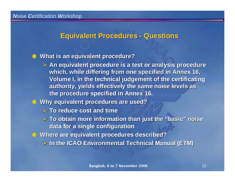## **Equivalent Procedures - Questions Equivalent Procedures - Questions**

#### **What is an equivalent procedure? What is an equivalent procedure?**

- $\triangleright$  An equivalent procedure is a test or analysis procedure which, while differing from one specified in Annex 16, **Volume I, in the technical judgement of the certificating** authority, yields effectively the same noise levels as **the procedure specified in Annex 16. the procedure specified in Annex 16.**
- **Why equivalent procedures are used? Why equivalent procedures are used?**
	- ¾ **To reduce cost and time To reduce cost and time**
	- ¾ **To obtain more information than just the To obtain more information than just the "basic" noise data for a single configuration data for a single configuration**
- **Where are equivalent procedures described? Where are equivalent procedures described?**
	- ¾ **In the ICAO Environmental Technical Manual (ETM) In the ICAO Environmental Technical Manual (ETM)**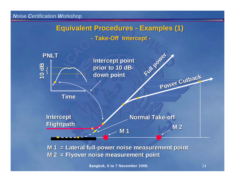# **Equivalent Procedures - Examples (1) Equivalent Procedures - Examples (1) - Take-Off Intercept - - Take-Off Intercept -**



**M 1 = Lateral full-power noise measurement point M 2 = Flyover noise measurement point M 2 = Flyover noise measurement point**

Bangkok, 6 to 7 November 2006 24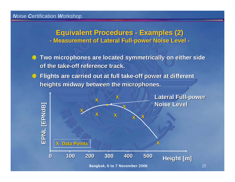### **Equivalent Procedures - Examples (2) Equivalent Procedures - Examples (2) - Measurement of Lateral Full-power Noise Level - - Measurement of Lateral Full-power Noise Level -**

- **Two microphones are located symmetrically on either side Two microphones are located symmetrically on either side of the take-off reference track.**
- **Example 3 Flights are carried out at full take-off power at different heights midway between the microphones. heights midway between the microphones.**

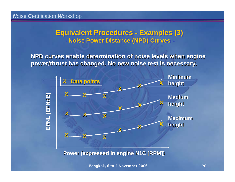## **Equivalent Procedures - Examples (3) Equivalent Procedures - Examples (3) - Noise Power Distance (NPD) Curves - - Noise Power Distance (NPD) Curves -**

**NPD curves enable determinati NPD curves enable determination of noise levels when engine on of noise levels when engine** power/thrust has changed. No new noise test is necessary.

![](_page_25_Figure_3.jpeg)

**Power (expressed in engine N1C [RPM]) Power (expressed in engine N1C [RPM])**

**Bangkok, 6 to 7 November 2006** 26